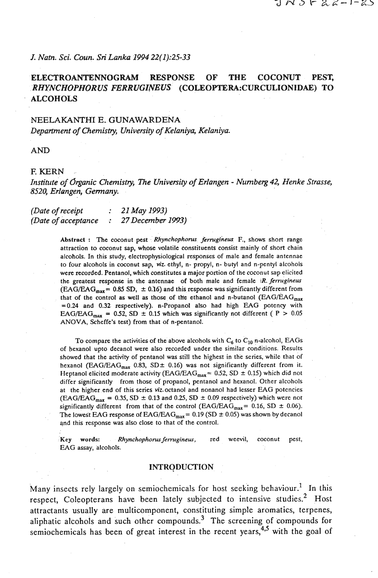#### *J. Natn. Sci. Coun.* **Sri** *Lanka 1994 22(1):25-33*

# **ELECTROANTENNOGRAM RESPONSE OF THE COCONUT PEST,**  *RITYNCHOPHORUS FERRUGZNEUS* **(COLE0PTERA:CURCULIONIDAE) TO ALCOHOLS**

## **NEELAKANTHI E. GUNAWARDENA**  *Depamnent of Chemistry, University* **of** *Kelaniya, Kelaniya.*

**AND** 

#### **E KERN**

*Institute* **of** *organic CIzemisby, The University of Erlangen* - *Numberg 42, Henke Strasse, 8520, Erlangen, Germany.* 

## *(Date* **of** *receipt* : *21May1993) (Date* **of** *acceptance* : *27 December 1993)*

Abstract : The coconut pest Rhynchophorus ferrugineus F., shows short range attraction to coconut sap, whose volatile constituents consist mainly of short chain alcohols. In this study, electrophysiological responses of male and female antennae to four alcohols in coconut sap, viz. ethyl, n- propyl, n- butyl and n-pentyl alcohols were recorded. Pentanol, which constitutes a major portion of the coconut sap elicited the greatest response in the antennae of both male and female **IR.** *fetrrigineus*  (EAG/EAG<sub>max</sub> = 0.85 SD,  $\pm$  0.16) and this response was significantly different from that of the control as well as those of the ethanol and n-butanol (EAG/EAG<sub>max</sub>)  $=0.24$  and 0.32 respectively). n-Propanol also had high EAG potency with EAG/EAG<sub>max</sub> = 0.52, SD  $\pm$  0.15 which was significantly not different (P > 0.05 ANOVA, Scheffe's test) from that of n-pentanol.

To compare the activities of the above alcohols with  $C_6$  to  $C_{10}$  n-alcohol, EAGs of bexanol upto decanol were also recorded under the similar conditions. Results showed that the activity of pentanol was still the highest in the series, while that of hexanol (EAG/EAG<sub>max</sub> 0.83, SD $\pm$  0.16) was not significantly different from it. Heptanol elicited moderate activity (EAG/EAG<sub>max</sub> = 0.52, SD  $\pm$  0.15) which did not differ significantly from those of propanol, pentanol and hexanol. Other alcohols at the higher end of this series viz.octanol and nonanol had lesser EAG potencies  $(EG/EAG_{max} = 0.35, SD \pm 0.13$  and 0.25, SD  $\pm$  0.09 respectively) which were not significantly different from that of the control (EAG/EAG<sub>max</sub> = 0.16, SD  $\pm$  0.06). The lowest EAG response of  $EAG/EAG_{max} = 0.19$  (SD  $\pm$  0.05) was shown by decanol and this response was also close to that of the control.

**Key** words: **Rhynchophonrs** *fet~ugineus,* red weevil, coconut pest, EAG assay, alcohols.

#### **INTRODUCTION**

Many insects rely largely on semiochemicals for host seeking behaviour.' In this respect, Coleopterans have been lately subjected to intensive studies.<sup>2</sup> Host attractants usually are multicomponent, constituting simple aromatics, terpenes, aliphatic alcohols and such other compounds.3 The screening of compounds **for**  semiochemicals has been of great interest in the recent years,  $4.5$  with the goal of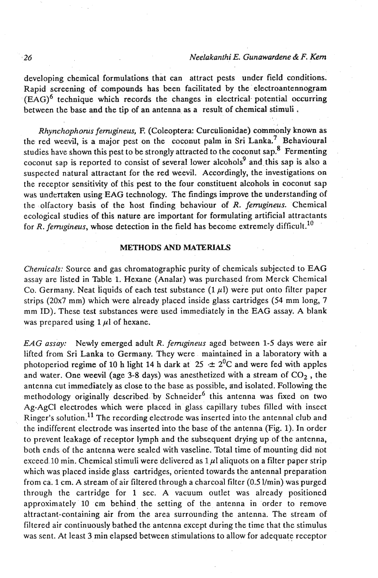developing chemical formulations that can attract pests under field conditions. Rapid screening of compounds has been facilitated by the electroantennogram  $(EAG)$ <sup>6</sup> technique which records the changes in electrical potential occurring between the base and the tip of an antenna as a result of chemical stimuli .

*Rhynchophorus fem@neus,* **E** (Coleoptera: Curculionidae) commonly known as the red weevil, is a major pest on the coconut palm in Sri Lanka.<sup>7</sup> Behavioural studies have shown this pest to be strongly attracted to the coconut sap.<sup>8</sup> Fermenting coconut sap is reported to consist of several lower alcohols<sup>9</sup> and this sap is also a suspected natural attractant for the red weevil. Accordingly, the investigations on the receptor sensitivity of this pest to the four constituent alcohols in coconut sap was undertaken using EAG technology. The findings improve the understanding of the olfactory basis of the host finding behaviour of R. *femrgineus.* Chemical ecological studies of this nature are important for formulating artificial attractants for R. ferrugineus, whose detection in the field has become extremely difficult.<sup>10</sup>

#### **METHODS AND MATERIALS**

Chemicals: Source and gas chromatographic purity of chemicals subjected to EAG assay are listed in Table 1. Hexane (Analar) was purchased from Merck Chemical Co. Germany. Neat liquids of each test substance  $(1 \mu l)$  were put onto filter paper strips (20x7 mm) which were already placed inside glass cartridges (54 mm long, 7 mm ID). These test substances were used immediately in the EAG assay. A blank was prepared using  $1 \mu l$  of hexane.

*EAG assay:* Newly emerged adult R. *fernlgineus* aged between *1-5* days were air lifted from Sri Lanka to Germany. They were maintained in a laboratory with a photoperiod regime of 10 h light 14 h dark at 25  $\pm 2^{0}$ C and were fed with apples and water. One weevil (age 3-8 days) was anesthetized with a stream of  $CO<sub>2</sub>$ , the antenna cut immediately as close to the base as possible, and isolated. Following the methodology originally described by Schneider<sup>6</sup> this antenna was fixed on two Ag-AgCI electrodes which were placed in glass capillary tubes filled with insect Ringer's solution.11 The recording electrode was inserted into the antennal club and the indifferent electrode was inserted into the base of the antenna (Fig. 1). In order to prevent leakage of receptor lymph and the subsequent drying up of the antenna, both ends of the antenna were sealed with vaseline. Total time of mounting did not exceed 10 min. Chemical stimuli were delivered as  $1 \mu$ l aliquots on a filter paper strip which was placed inside glass cartridges, oriented towards the antennal preparation from ca. 1 cm. A stream of air filtered through a charcoal filter  $(0.5 \, \text{l/min})$  was purged through the cartridge for 1 sec. A vacuum outlet was already positioned approximately 10 cm behind the setting of the antenna in order to remove attractant-containing air from the area surrounding the antenna. The stream of filtered air continuously bathed the antenna except during the time that the stimulus was sent. At least 3 min elapsed between stimulations to allow for adequate receptor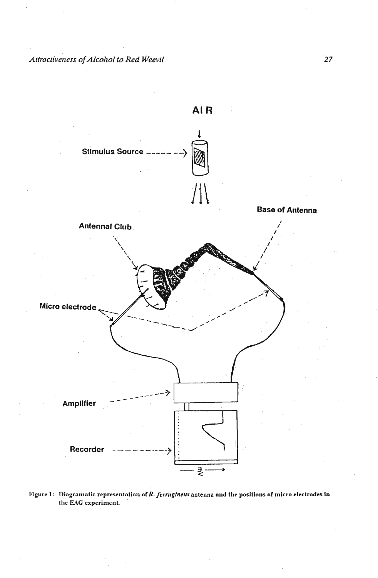

Figure 1: Diagramatic representation of R. ferrugineus antenna and the positions of micro electrodes in the EAG experiment.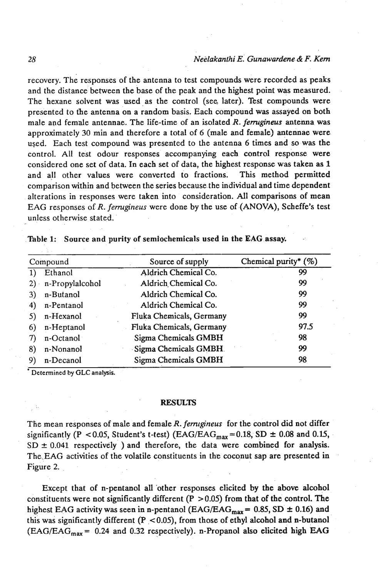recovery. The responses of the antenna to test compounds were recorded as peaks and the distance between the base of the peak and the highest point was measured. The hexane solvent was used as the control (see later). Test compounds were presented to the antenna on a random basis. Each compound was assayed on both male and female antennae. The life-time of an isolated R. *femgineus* antenna was approximately **30** min and therefore a total of 6 (male and female) antennae were used. Each test compound was presented to the antenna 6 times and so was the control. All test odour responses accompanying each control response were considered one set of data. In each set of data, the highest response was taken as 1 and all other values were converted to fractions. This method permitted comparison within and between the series because the individual and time dependent alterations in responses were taken into consideration. All comparisons of mean EAG responses of R. *femgineus* were done by the use of (ANOVA), Scheffe's test unless otherwise stated.

| Table 1: Source and purity of semiochemicals used in the EAG assay. |  |  |  |  |  |  |  |
|---------------------------------------------------------------------|--|--|--|--|--|--|--|
|---------------------------------------------------------------------|--|--|--|--|--|--|--|

| Compound |                    | Source of supply         | Chemical purity* $(\%)$ |  |
|----------|--------------------|--------------------------|-------------------------|--|
| 1)       | Ethanol            | Aldrich Chemical Co.     | 99                      |  |
|          | 2) n-Propylalcohol | Aldrich Chemical Co.     | 99                      |  |
| 3)       | n-Butanol          | Aldrich Chemical Co.     | 99                      |  |
| 4)       | n-Pentanol         | Aldrich Chemical Co.     | 99                      |  |
| 5)       | n-Hexanol          | Fluka Chemicals, Germany | 99                      |  |
| 6)       | n-Heptanol         | Fluka Chemicals, Germany | 97.5                    |  |
| 7)       | n-Octanol          | Sigma Chemicals GMBH     | 98                      |  |
| 8)       | n-Nonanol          | Sigma Chemicals GMBH.    | 99                      |  |
| 9)       | n-Decanol          | Sigma Chemicals GMBH     | 98                      |  |

**Determined by GLC analysis.** 

#### **RESULTS**

The mean responses of male and female R. *femtgineus* for the control did not differ significantly (P < 0.05, Student's t-test) (EAG/EAG<sub>max</sub> = 0.18, SD  $\pm$  0.08 and 0.15,  $SD \pm 0.041$  respectively ) and therefore, the data were combined for analysis. The,EAG activities of the volatile constituents in the coconut sap are presented in Figure 2.

Except that of n-pentanol all 'other responses elicited by the above alcohol constituents were not significantly different ( $P > 0.05$ ) from that of the control. The highest EAG activity was seen in n-pentanol (EAG/EAG<sub>max</sub> =  $0.85$ , SD  $\pm$  0.16) and this was significantly different (P <0.05), from those of ethyl alcohol and n-butanol  $(EAG/EAG<sub>max</sub> = 0.24$  and 0.32 respectively). n-Propanol also elicited high EAG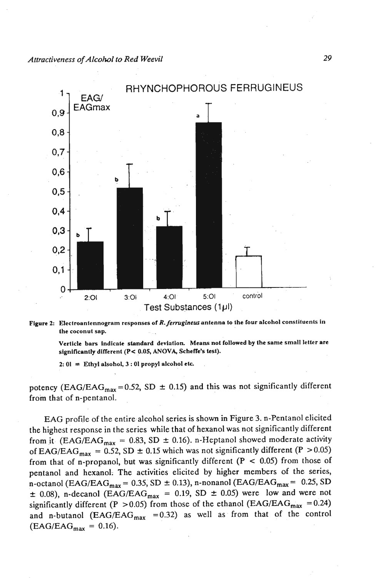

Figure 2: Electroantennogram responses of R. ferrugineus antenna to the four alcohol constituents in **the coconut sap.** 

Verticle bars indicate standard deviation. Means not followed by the same small letter are **significantly difTerent (PC 0.05, ANOVA, Schefle's test).** 

 $2: 01 =$  **Ethyl alsohol, 3:01 propyl alcohol etc.** 

potency (EAG/EAG<sub>max</sub> = 0.52, SD  $\pm$  0.15) and this was not significantly different fro'm that of n-pentanol.

EAG profile of the entire alcohol series is shown in Figure 3. n-Pentanol elicited the highest response in the series while that of hexanol was not significantly different from it (EAG/EAG<sub>max</sub> = 0.83, SD  $\pm$  0.16). n-Heptanol showed moderate activity of EAG/EAG<sub>max</sub> = 0.52, SD  $\pm$  0.15 which was not significantly different (P > 0.05) from that of n-propanol, but was significantly different  $(P < 0.05)$  from those of pentanol and hexanol. The activities elicited by higher members of the series, n-octanol (EAG/EAG<sub>max</sub> = 0.35, SD  $\pm$  0.13), n-nonanol (EAG/EAG<sub>max</sub> = 0.25, SD  $\pm$  0.08), n-decanol (EAG/EAG<sub>max</sub> = 0.19, SD  $\pm$  0.05) were low and were not significantly different (P > 0.05) from those of the ethanol (EAG/EAG<sub>max</sub> = 0.24) and n-butanol (EAG/EAG<sub>max</sub> = 0.32) as well as from that of the control  $(EAG/EAG_{max} = 0.16).$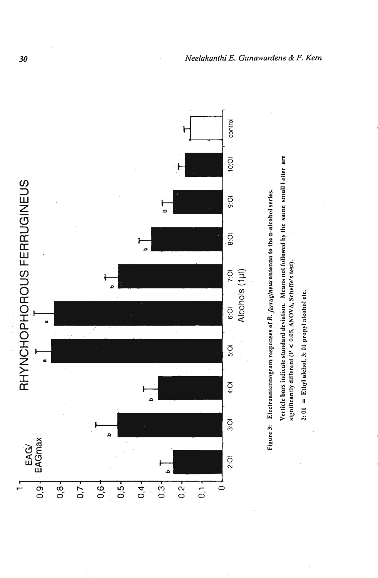



Verticle bars indicate standard deviation. Means not followed by the same small letter are significantly different (P < 0.05, ANOVA, Scheffe's test).

 $2:01 =$  Ethyl alchol,  $3:01$  propyl alcohol etc.

 $30^{\circ}$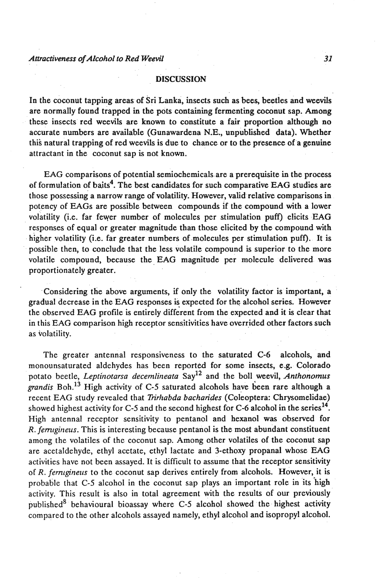#### **DISCUSSION**

In the coconut tapping areas of Sri Lanka, insects such as bees, beetles and weevils are normally found trapped in the pots containing fermenting coconut sap. Among these insects red weevils are known to constitute a fair proportion although no accurate numbers are available (Gunawardena N.E., unpublished data). Whether this natural trapping of red weevils is due to chance or to the presence of a genuine attractant in the coconut sap is not known.

EAG comparisons of potential semiochemicals are a prerequisite in the process of formulation of baits<sup>4</sup>. The best candidates for such comparative EAG studies are those possessing a narrow range of volatility. However, valid relative comparisons in potency of EAGs are possible between compounds if the compound with a lower volatility (i.e. far fever number of molecules per stimulation puff) elicits EAG responses of equal or greater magnitude than those elicited by the compound with higher volatility (i.e. far greater numbers of molecules per stimulation puff). It is possible then, to conclude that the less volatile compound is superior to the more volatile compound, because the EAG magnitude per molecule delivered was proportionately greater.

Considering the above arguments, if only the volatility factor is important, a gradual decrease in the EAG responses is expected for the alcohol series. However the observed EAG profile is entirely different from the expected and it is clear that in this EAG comparison high receptor sensitivities have overrjded other factors such as volatility.

The greater antennal responsiveness to the saturated C-6 alcohols, and monounsaturated aldehydes has been reported for some insects, e.g. Colorado potato beetle, *Leptinotarsa decemlineata* Say<sup>12</sup> and the boll weevil, *Anthonomus grandis* Boh.<sup>13</sup> High activity of C-5 saturated alcohols have been rare although a recent EAG study revealed that *Trirhabda bacharides* (Coleoptera: Chrysomelidae) showed highest activity for C-5 and the second highest for C-6 alcohol in the series<sup>14</sup>. High antennal receptor sensitivity to pentanol and hexanol **was** observed for R. *ferrugineus*. This is interesting because pentanol is the most abundant constituent among the volatiles of the coconut sap. Among other volatiles of the coconut sap are acetaldehyde, ethyl acetate, ethyl lactate and 3-ethoxy propanal whose EAG activities have not been assayed. It is difficult to assume that the receptor sensitivity of R. *ferniginelis* to the coconut sap derives entirely from alcohols. However, it is probable that C-5 alcohol in the coconut sap plays an important role in its high activity. This result is also in total agreement with the results of our previously published<sup>8</sup> behavioural bioassay where C-5 alcohol showed the highest activity compared to the other alcohols assayed namely, ethyl alcohol and isopropyl alcohol.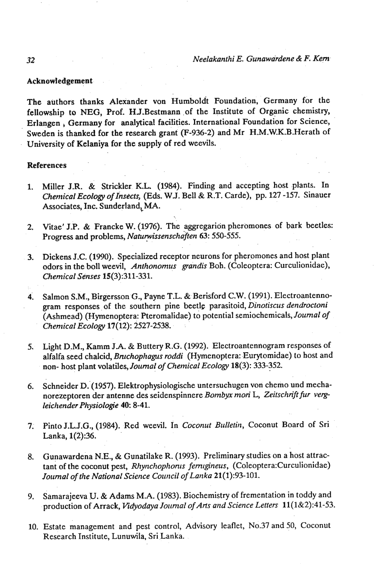#### **Acknowledgement**

The authors thanks Alexander von Humboldt Foundation, Germany for the fellowship to NEG, Prof. HJ.Bestmann of the Institute of Organic chemistry, Erlangen, Germany for analytical facilities. International Foundation for Science, Sweden is thanked for the research grant (F-936-2) and Mr H.M.W.K.B.Herath of University of Kelaniya for the supply of red weevils.

#### **References**

- 1. Miller J.R. & Strickler K.L. (1984). Finding and accepting host plants. In *Chenlical Ecology of Insects,* (Eds. WJ. Bell & R.T. Carde), pp. 127 -157. Sinauer Associates, Inc. Sunderland, MA.
- **2.** Vitae' J.P. & Francke W. (1976). The aggregarion pheromones of bark beetles: Progress and problems, *Naturwissenschaften* 63: 550-555.
- **3.** Dickens J.C. (1990). Specialized receptor neurons for pheromones and host plant odors in the boll weevil, Anthonomus grandis Boh. (Coleoptera: Curculionidae), *Chemical Senses* 15(3):311-331.
- **4.** Salmon S.M., Birgersson G., Payne T.L. & Berisford C.W. (1991). Electroantennogram responses of the southern pine beetle parasitoid, *Dinotiscus dendroctoni*  (Ashmead) (Hymenoptera: Pteromalidae) to potential semiochemicals, *Journal of Chemical Ecology* 17(12): 2527-2538.
- **5,** Light **D.M.,** Kamm **J-A.** & Buttery **R.G.** (1992). Electroantennogram responses of alfalfa seed chalcid, *Bmchophagus roddi* (Hymenoptera: Eurytomidae) to host and non- host plant volatiles, *Journal of Chemical Ecology* 18(3): 333-352.
- 6. Schneider D. (1957). Elektrophysiologische untersuchugen von chemo und mechanorezeptoren der antenne des seidenspinnere Bombyx mori L, Zeitschrift fur verg*leicltender Physiologie 40: 8-41.*
- 7. Pinto J.L.J.G., (1984). Red weevil. In *Coconut Bulletin*, Coconut Board of Sri Lanka, 1(2):36.
- 8. Gunawardena N.E., & Gunatilake R. (1993). Preliminary studies on a host attractant of the coconut pest, *Rhynchophonus ferrugineus*, (Coleoptera:Curculionidae) *Journal of the National Science Council of Lanka* 21(1):93- 101.
- 9. Samarajeeva U. & Adams M.A. (1983). Biochemistry of frementation in toddy and production of Arrack, Vidyodaya Journal of Arts and Science Letters 11(1&2):41-53.
- 10. Estate management and pest control, Advisory leaflet, No.37 and 50, Coconut Research Institute, Lunuwila, Sri Lanka.